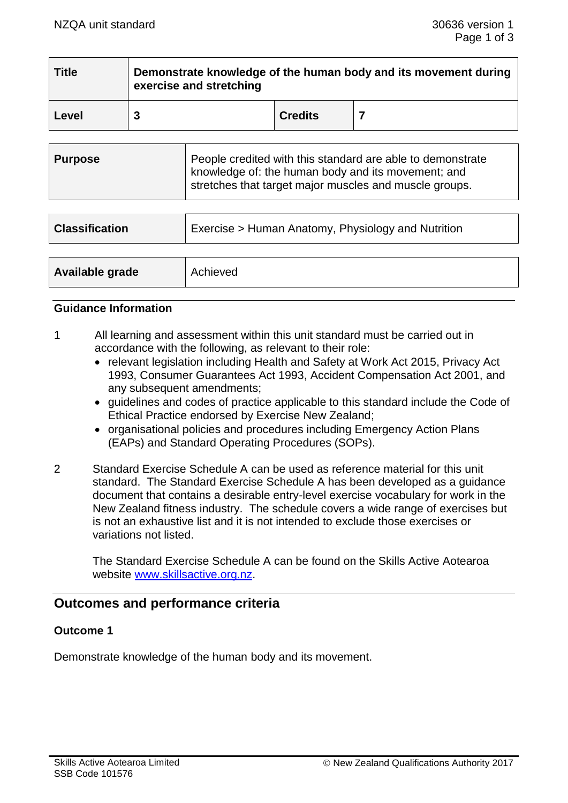| <b>Title</b> | Demonstrate knowledge of the human body and its movement during<br>exercise and stretching |                |  |
|--------------|--------------------------------------------------------------------------------------------|----------------|--|
| Level        |                                                                                            | <b>Credits</b> |  |

| <b>Purpose</b> | People credited with this standard are able to demonstrate<br>knowledge of: the human body and its movement; and<br>stretches that target major muscles and muscle groups. |
|----------------|----------------------------------------------------------------------------------------------------------------------------------------------------------------------------|
|----------------|----------------------------------------------------------------------------------------------------------------------------------------------------------------------------|

| <b>Classification</b> | Exercise > Human Anatomy, Physiology and Nutrition |  |
|-----------------------|----------------------------------------------------|--|
|                       |                                                    |  |
| Available grade       | Achieved                                           |  |

#### **Guidance Information**

- 1 All learning and assessment within this unit standard must be carried out in accordance with the following, as relevant to their role:
	- relevant legislation including Health and Safety at Work Act 2015, Privacy Act 1993, Consumer Guarantees Act 1993, Accident Compensation Act 2001, and any subsequent amendments;
	- guidelines and codes of practice applicable to this standard include the Code of Ethical Practice endorsed by Exercise New Zealand;
	- organisational policies and procedures including Emergency Action Plans (EAPs) and Standard Operating Procedures (SOPs).
- 2 Standard Exercise Schedule A can be used as reference material for this unit standard. The Standard Exercise Schedule A has been developed as a guidance document that contains a desirable entry-level exercise vocabulary for work in the New Zealand fitness industry. The schedule covers a wide range of exercises but is not an exhaustive list and it is not intended to exclude those exercises or variations not listed.

The Standard Exercise Schedule A can be found on the Skills Active Aotearoa website [www.skillsactive.org.nz.](../../../AppData/Local/(3)%20Working%20docs/www.skillsactive.org.nz)

# **Outcomes and performance criteria**

# **Outcome 1**

Demonstrate knowledge of the human body and its movement.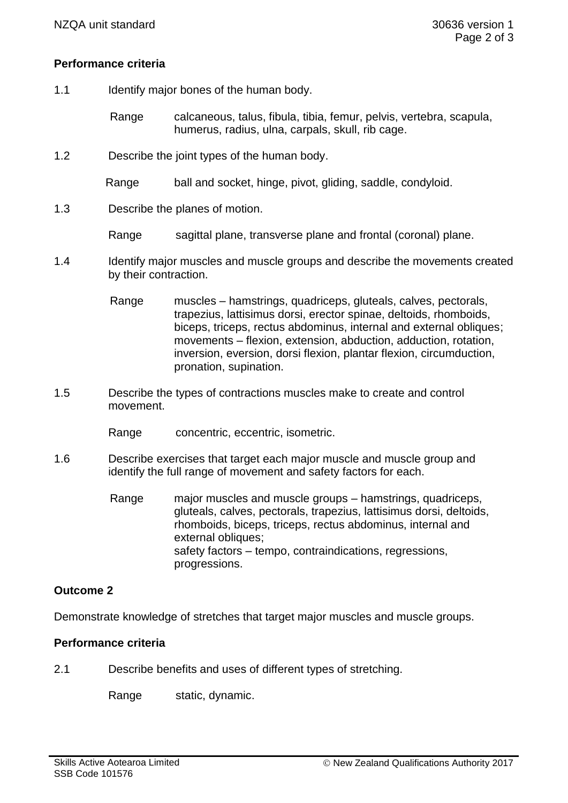# **Performance criteria**

- 1.1 Identify major bones of the human body.
	- Range calcaneous, talus, fibula, tibia, femur, pelvis, vertebra, scapula, humerus, radius, ulna, carpals, skull, rib cage.
- 1.2 Describe the joint types of the human body.
	- Range ball and socket, hinge, pivot, gliding, saddle, condyloid.
- 1.3 Describe the planes of motion.
	- Range sagittal plane, transverse plane and frontal (coronal) plane.
- 1.4 Identify major muscles and muscle groups and describe the movements created by their contraction.
	- Range muscles hamstrings, quadriceps, gluteals, calves, pectorals, trapezius, lattisimus dorsi, erector spinae, deltoids, rhomboids, biceps, triceps, rectus abdominus, internal and external obliques; movements – flexion, extension, abduction, adduction, rotation, inversion, eversion, dorsi flexion, plantar flexion, circumduction, pronation, supination.
- 1.5 Describe the types of contractions muscles make to create and control movement.
	- Range concentric, eccentric, isometric.
- 1.6 Describe exercises that target each major muscle and muscle group and identify the full range of movement and safety factors for each.
	- Range major muscles and muscle groups hamstrings, quadriceps, gluteals, calves, pectorals, trapezius, lattisimus dorsi, deltoids, rhomboids, biceps, triceps, rectus abdominus, internal and external obliques: safety factors – tempo, contraindications, regressions, progressions.

# **Outcome 2**

Demonstrate knowledge of stretches that target major muscles and muscle groups.

# **Performance criteria**

2.1 Describe benefits and uses of different types of stretching.

Range static, dynamic.